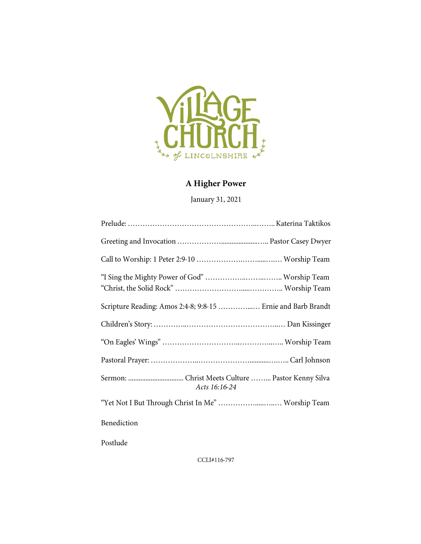

## A Higher Power

January 31, 2021

| Scripture Reading: Amos 2:4-8; 9:8-15  Ernie and Barb Brandt |  |
|--------------------------------------------------------------|--|
|                                                              |  |
|                                                              |  |
|                                                              |  |
| Acts 16:16-24                                                |  |
| "Yet Not I But Through Christ In Me"  Worship Team           |  |
| Benediction                                                  |  |
| Postlude                                                     |  |

CCLI#116-797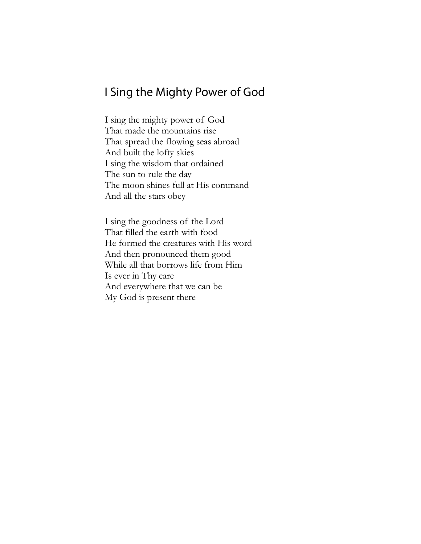# I Sing the Mighty Power of God

I sing the mighty power of God That made the mountains rise That spread the flowing seas abroad And built the lofty skies I sing the wisdom that ordained The sun to rule the day The moon shines full at His command And all the stars obey

I sing the goodness of the Lord That filled the earth with food He formed the creatures with His word And then pronounced them good While all that borrows life from Him Is ever in Thy care And everywhere that we can be My God is present there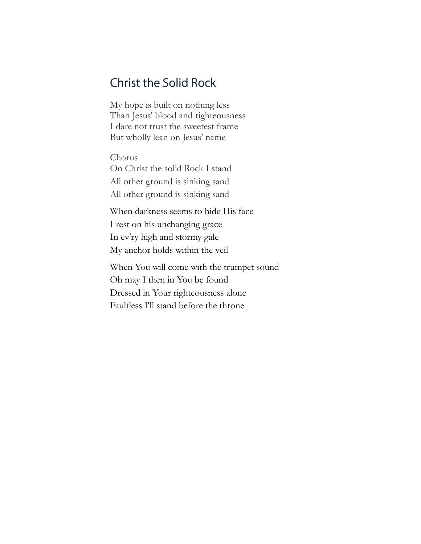# **Christ the Solid Rock**

My hope is built on nothing less Than Jesus' blood and righteousness I dare not trust the sweetest frame But wholly lean on Jesus' name

Chorus On Christ the solid Rock I stand All other ground is sinking sand All other ground is sinking sand

When darkness seems to hide His face I rest on his unchanging grace In ev'ry high and stormy gale My anchor holds within the veil

When You will come with the trumpet sound Oh may I then in You be found Dressed in Your righteousness alone Faultless I'll stand before the throne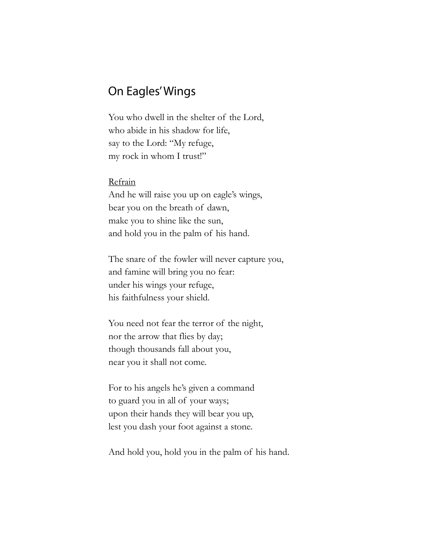### **On Eagles' Wings**

You who dwell in the shelter of the Lord, who abide in his shadow for life, say to the Lord: "My refuge, my rock in whom I trust!"

#### Refrain

And he will raise you up on eagle's wings, bear you on the breath of dawn, make you to shine like the sun, and hold you in the palm of his hand.

The snare of the fowler will never capture you, and famine will bring you no fear: under his wings your refuge, his faithfulness your shield.

You need not fear the terror of the night, nor the arrow that flies by day; though thousands fall about you, near you it shall not come.

For to his angels he's given a command to guard you in all of your ways; upon their hands they will bear you up, lest you dash your foot against a stone.

And hold you, hold you in the palm of his hand.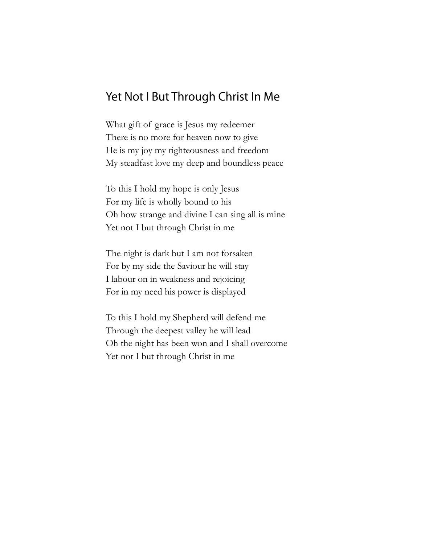# Yet Not I But Through Christ In Me

What gift of grace is Jesus my redeemer There is no more for heaven now to give He is my joy my righteousness and freedom My steadfast love my deep and boundless peace

To this I hold my hope is only Jesus For my life is wholly bound to his Oh how strange and divine I can sing all is mine Yet not I but through Christ in me

The night is dark but I am not forsaken For by my side the Saviour he will stay I labour on in weakness and rejoicing For in my need his power is displayed

To this I hold my Shepherd will defend me Through the deepest valley he will lead Oh the night has been won and I shall overcome Yet not I but through Christ in me